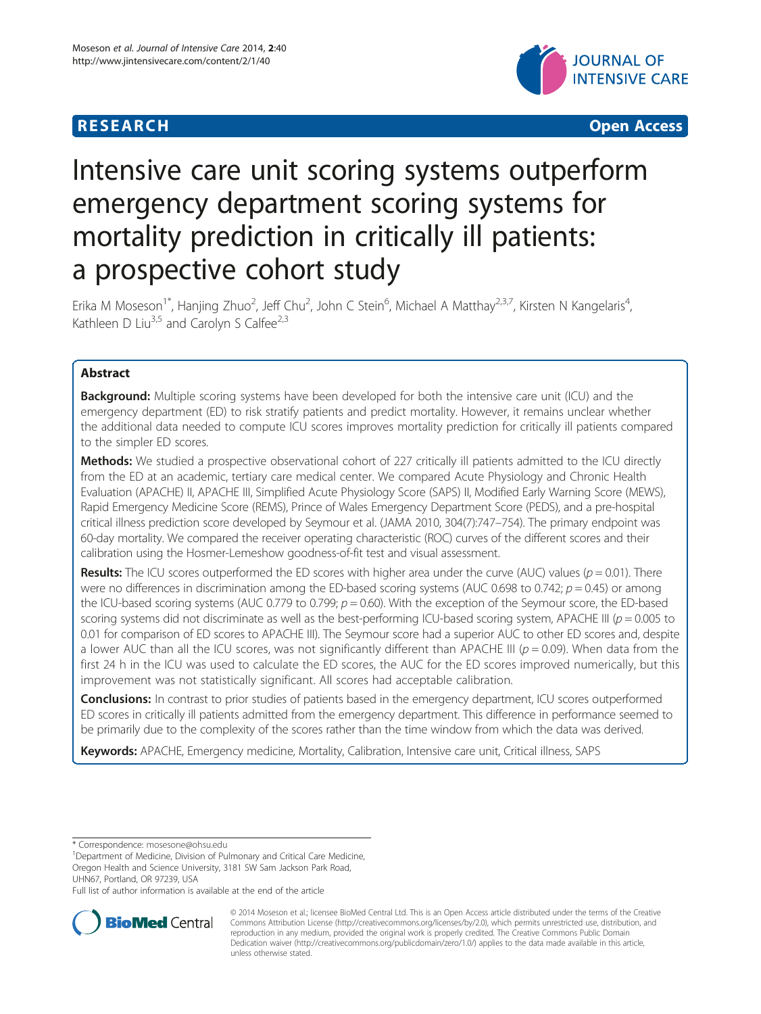## **RESEARCH CHEAR CHEAR CHEAR CHEAR CHEAR CHEAR CHEAR CHEAR CHEAR CHEAR CHEAR CHEAR CHEAR CHEAR CHEAR CHEAR CHEAR**



# Intensive care unit scoring systems outperform emergency department scoring systems for mortality prediction in critically ill patients: a prospective cohort study

Erika M Moseson<sup>1\*</sup>, Hanjing Zhuo<sup>2</sup>, Jeff Chu<sup>2</sup>, John C Stein<sup>6</sup>, Michael A Matthay<sup>2,3,7</sup>, Kirsten N Kangelaris<sup>4</sup> , Kathleen D Liu<sup>3,5</sup> and Carolyn S Calfee<sup>2,3</sup>

## Abstract

Background: Multiple scoring systems have been developed for both the intensive care unit (ICU) and the emergency department (ED) to risk stratify patients and predict mortality. However, it remains unclear whether the additional data needed to compute ICU scores improves mortality prediction for critically ill patients compared to the simpler ED scores.

Methods: We studied a prospective observational cohort of 227 critically ill patients admitted to the ICU directly from the ED at an academic, tertiary care medical center. We compared Acute Physiology and Chronic Health Evaluation (APACHE) II, APACHE III, Simplified Acute Physiology Score (SAPS) II, Modified Early Warning Score (MEWS), Rapid Emergency Medicine Score (REMS), Prince of Wales Emergency Department Score (PEDS), and a pre-hospital critical illness prediction score developed by Seymour et al. (JAMA 2010, 304(7):747–754). The primary endpoint was 60-day mortality. We compared the receiver operating characteristic (ROC) curves of the different scores and their calibration using the Hosmer-Lemeshow goodness-of-fit test and visual assessment.

**Results:** The ICU scores outperformed the ED scores with higher area under the curve (AUC) values ( $p = 0.01$ ). There were no differences in discrimination among the ED-based scoring systems (AUC 0.698 to 0.742;  $p = 0.45$ ) or among the ICU-based scoring systems (AUC 0.779 to 0.799;  $p = 0.60$ ). With the exception of the Seymour score, the ED-based scoring systems did not discriminate as well as the best-performing ICU-based scoring system, APACHE III ( $p = 0.005$  to 0.01 for comparison of ED scores to APACHE III). The Seymour score had a superior AUC to other ED scores and, despite a lower AUC than all the ICU scores, was not significantly different than APACHE III ( $p = 0.09$ ). When data from the first 24 h in the ICU was used to calculate the ED scores, the AUC for the ED scores improved numerically, but this improvement was not statistically significant. All scores had acceptable calibration.

Conclusions: In contrast to prior studies of patients based in the emergency department, ICU scores outperformed ED scores in critically ill patients admitted from the emergency department. This difference in performance seemed to be primarily due to the complexity of the scores rather than the time window from which the data was derived.

Keywords: APACHE, Emergency medicine, Mortality, Calibration, Intensive care unit, Critical illness, SAPS

\* Correspondence: [mosesone@ohsu.edu](mailto:mosesone@ohsu.edu) <sup>1</sup>

<sup>1</sup>Department of Medicine, Division of Pulmonary and Critical Care Medicine, Oregon Health and Science University, 3181 SW Sam Jackson Park Road, UHN67, Portland, OR 97239, USA

Full list of author information is available at the end of the article



© 2014 Moseson et al.; licensee BioMed Central Ltd. This is an Open Access article distributed under the terms of the Creative Commons Attribution License [\(http://creativecommons.org/licenses/by/2.0\)](http://creativecommons.org/licenses/by/2.0), which permits unrestricted use, distribution, and reproduction in any medium, provided the original work is properly credited. The Creative Commons Public Domain Dedication waiver [\(http://creativecommons.org/publicdomain/zero/1.0/](http://creativecommons.org/publicdomain/zero/1.0/)) applies to the data made available in this article, unless otherwise stated.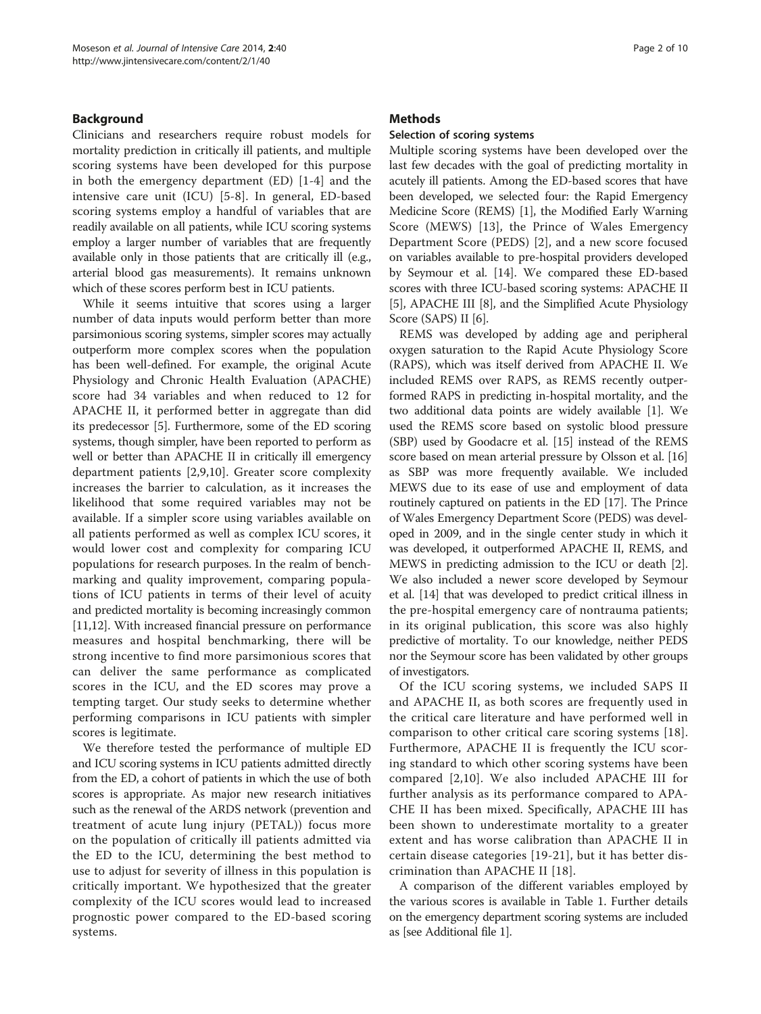## Background

Clinicians and researchers require robust models for mortality prediction in critically ill patients, and multiple scoring systems have been developed for this purpose in both the emergency department (ED) [[1](#page-8-0)-[4\]](#page-8-0) and the intensive care unit (ICU) [\[5](#page-8-0)-[8\]](#page-8-0). In general, ED-based scoring systems employ a handful of variables that are readily available on all patients, while ICU scoring systems employ a larger number of variables that are frequently available only in those patients that are critically ill (e.g., arterial blood gas measurements). It remains unknown which of these scores perform best in ICU patients.

While it seems intuitive that scores using a larger number of data inputs would perform better than more parsimonious scoring systems, simpler scores may actually outperform more complex scores when the population has been well-defined. For example, the original Acute Physiology and Chronic Health Evaluation (APACHE) score had 34 variables and when reduced to 12 for APACHE II, it performed better in aggregate than did its predecessor [\[5](#page-8-0)]. Furthermore, some of the ED scoring systems, though simpler, have been reported to perform as well or better than APACHE II in critically ill emergency department patients [\[2,9](#page-8-0),[10\]](#page-8-0). Greater score complexity increases the barrier to calculation, as it increases the likelihood that some required variables may not be available. If a simpler score using variables available on all patients performed as well as complex ICU scores, it would lower cost and complexity for comparing ICU populations for research purposes. In the realm of benchmarking and quality improvement, comparing populations of ICU patients in terms of their level of acuity and predicted mortality is becoming increasingly common [[11,12](#page-8-0)]. With increased financial pressure on performance measures and hospital benchmarking, there will be strong incentive to find more parsimonious scores that can deliver the same performance as complicated scores in the ICU, and the ED scores may prove a tempting target. Our study seeks to determine whether performing comparisons in ICU patients with simpler scores is legitimate.

We therefore tested the performance of multiple ED and ICU scoring systems in ICU patients admitted directly from the ED, a cohort of patients in which the use of both scores is appropriate. As major new research initiatives such as the renewal of the ARDS network (prevention and treatment of acute lung injury (PETAL)) focus more on the population of critically ill patients admitted via the ED to the ICU, determining the best method to use to adjust for severity of illness in this population is critically important. We hypothesized that the greater complexity of the ICU scores would lead to increased prognostic power compared to the ED-based scoring systems.

### **Methods**

#### Selection of scoring systems

Multiple scoring systems have been developed over the last few decades with the goal of predicting mortality in acutely ill patients. Among the ED-based scores that have been developed, we selected four: the Rapid Emergency Medicine Score (REMS) [[1\]](#page-8-0), the Modified Early Warning Score (MEWS) [[13](#page-8-0)], the Prince of Wales Emergency Department Score (PEDS) [\[2](#page-8-0)], and a new score focused on variables available to pre-hospital providers developed by Seymour et al. [[14](#page-8-0)]. We compared these ED-based scores with three ICU-based scoring systems: APACHE II [[5\]](#page-8-0), APACHE III [\[8](#page-8-0)], and the Simplified Acute Physiology Score (SAPS) II [[6](#page-8-0)].

REMS was developed by adding age and peripheral oxygen saturation to the Rapid Acute Physiology Score (RAPS), which was itself derived from APACHE II. We included REMS over RAPS, as REMS recently outperformed RAPS in predicting in-hospital mortality, and the two additional data points are widely available [[1](#page-8-0)]. We used the REMS score based on systolic blood pressure (SBP) used by Goodacre et al. [\[15\]](#page-8-0) instead of the REMS score based on mean arterial pressure by Olsson et al. [[16](#page-8-0)] as SBP was more frequently available. We included MEWS due to its ease of use and employment of data routinely captured on patients in the ED [\[17\]](#page-8-0). The Prince of Wales Emergency Department Score (PEDS) was developed in 2009, and in the single center study in which it was developed, it outperformed APACHE II, REMS, and MEWS in predicting admission to the ICU or death [[2](#page-8-0)]. We also included a newer score developed by Seymour et al. [\[14\]](#page-8-0) that was developed to predict critical illness in the pre-hospital emergency care of nontrauma patients; in its original publication, this score was also highly predictive of mortality. To our knowledge, neither PEDS nor the Seymour score has been validated by other groups of investigators.

Of the ICU scoring systems, we included SAPS II and APACHE II, as both scores are frequently used in the critical care literature and have performed well in comparison to other critical care scoring systems [[18](#page-8-0)]. Furthermore, APACHE II is frequently the ICU scoring standard to which other scoring systems have been compared [[2](#page-8-0),[10\]](#page-8-0). We also included APACHE III for further analysis as its performance compared to APA-CHE II has been mixed. Specifically, APACHE III has been shown to underestimate mortality to a greater extent and has worse calibration than APACHE II in certain disease categories [[19](#page-8-0)-[21](#page-9-0)], but it has better discrimination than APACHE II [[18](#page-8-0)].

A comparison of the different variables employed by the various scores is available in Table [1.](#page-2-0) Further details on the emergency department scoring systems are included as [see Additional file [1\]](#page-8-0).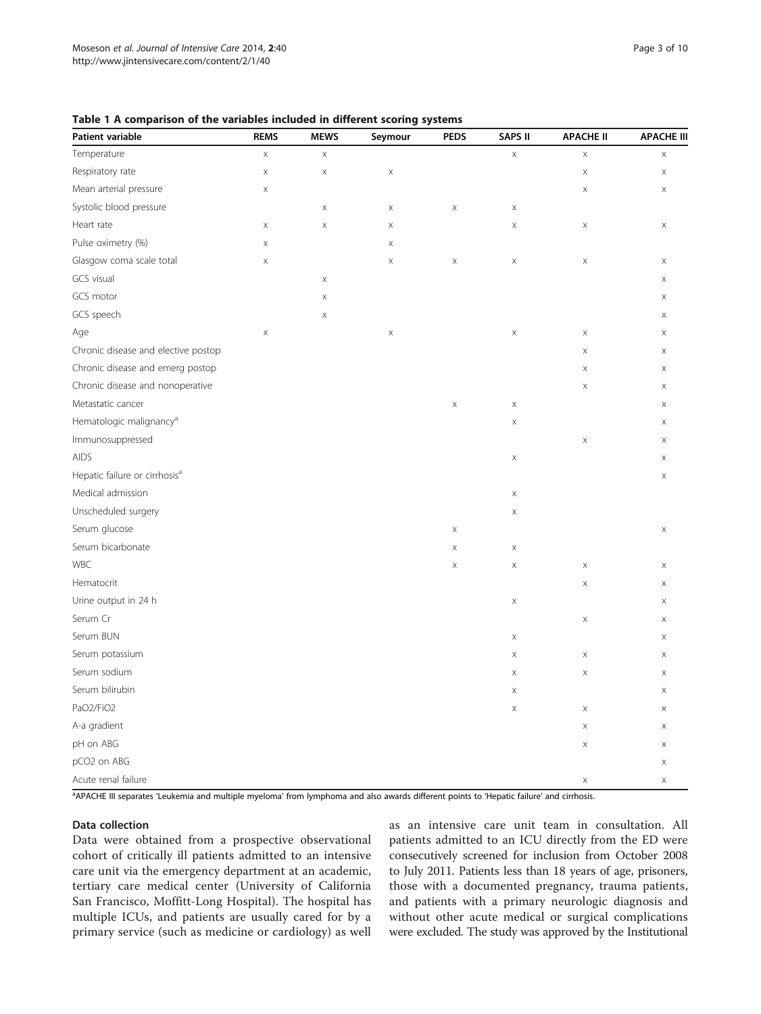| Patient variable                          | <b>REMS</b>               | <b>MEWS</b>           | Seymour               | <b>PEDS</b>               | <b>SAPS II</b>            | <b>APACHE II</b> | <b>APACHE III</b> |
|-------------------------------------------|---------------------------|-----------------------|-----------------------|---------------------------|---------------------------|------------------|-------------------|
| Temperature                               | $\mathsf X$               | $\mathsf X$           |                       |                           | $\mathsf X$               | $\mathsf X$      | X                 |
| Respiratory rate                          | $\mathsf X$               | X                     | $\mathsf X$           |                           |                           | $\mathsf X$      | X                 |
| Mean arterial pressure                    | $\times$                  |                       |                       |                           |                           | X                | X                 |
| Systolic blood pressure                   |                           | X                     | X                     | Χ                         | $\boldsymbol{\mathsf{X}}$ |                  |                   |
| Heart rate                                | Χ                         | $\mathsf X$           | X                     |                           | X                         | $\mathsf X$      | Χ                 |
| Pulse oximetry (%)                        | X                         |                       | Χ                     |                           |                           |                  |                   |
| Glasgow coma scale total                  | $\boldsymbol{\mathsf{X}}$ |                       | X                     | X                         | $\boldsymbol{\mathsf{X}}$ | $\mathsf X$      | X                 |
| GCS visual                                |                           | X                     |                       |                           |                           |                  | X                 |
| GCS motor                                 |                           | $\boldsymbol{\times}$ |                       |                           |                           |                  | Χ                 |
| GCS speech                                |                           | $\boldsymbol{\times}$ |                       |                           |                           |                  | X                 |
| Age                                       | $\mathsf X$               |                       | $\boldsymbol{\times}$ |                           | $\mathsf X$               | X                | X                 |
| Chronic disease and elective postop       |                           |                       |                       |                           |                           | X                | X                 |
| Chronic disease and emerg postop          |                           |                       |                       |                           |                           | Χ                | X                 |
| Chronic disease and nonoperative          |                           |                       |                       |                           |                           | X                | X                 |
| Metastatic cancer                         |                           |                       |                       | $\mathsf X$               | X                         |                  | X                 |
| Hematologic malignancy <sup>a</sup>       |                           |                       |                       |                           | $\boldsymbol{\mathsf{X}}$ |                  | $\times$          |
| Immunosuppressed                          |                           |                       |                       |                           |                           | $\mathsf X$      | $\times$          |
| <b>AIDS</b>                               |                           |                       |                       |                           | X                         |                  | X                 |
| Hepatic failure or cirrhosis <sup>a</sup> |                           |                       |                       |                           |                           |                  | X                 |
| Medical admission                         |                           |                       |                       |                           | $\boldsymbol{\mathsf{X}}$ |                  |                   |
| Unscheduled surgery                       |                           |                       |                       |                           | X                         |                  |                   |
| Serum glucose                             |                           |                       |                       | $\boldsymbol{\mathsf{X}}$ |                           |                  | X                 |
| Serum bicarbonate                         |                           |                       |                       | X                         | X                         |                  |                   |
| <b>WBC</b>                                |                           |                       |                       | X                         | $\boldsymbol{\mathsf{X}}$ | $\mathsf X$      | X                 |
| Hematocrit                                |                           |                       |                       |                           |                           | $\mathsf X$      | Χ                 |
| Urine output in 24 h                      |                           |                       |                       |                           | $\mathsf X$               |                  | X                 |
| Serum Cr                                  |                           |                       |                       |                           |                           | $\mathsf X$      | X                 |
| Serum BUN                                 |                           |                       |                       |                           | X                         |                  | X                 |
| Serum potassium                           |                           |                       |                       |                           | X                         | $\mathsf X$      | Χ                 |
| Serum sodium                              |                           |                       |                       |                           | $\mathsf X$               | $\mathsf X$      | X                 |
| Serum bilirubin                           |                           |                       |                       |                           | X                         |                  | X                 |
| PaO2/FiO2                                 |                           |                       |                       |                           | X                         | $\mathsf X$      | X                 |
| A-a gradient                              |                           |                       |                       |                           |                           | X                | X                 |
| pH on ABG                                 |                           |                       |                       |                           |                           | $\mathsf X$      | X                 |
| pCO2 on ABG                               |                           |                       |                       |                           |                           |                  | $\times$          |
| Acute renal failure                       |                           |                       |                       |                           |                           | X                | X                 |

<span id="page-2-0"></span>Table 1 A comparison of the variables included in different scoring systems

<sup>a</sup> APACHE III separates 'Leukemia and multiple myeloma' from lymphoma and also awards different points to 'Hepatic failure' and cirrhosis.

#### Data collection

Data were obtained from a prospective observational cohort of critically ill patients admitted to an intensive care unit via the emergency department at an academic, tertiary care medical center (University of California San Francisco, Moffitt-Long Hospital). The hospital has multiple ICUs, and patients are usually cared for by a primary service (such as medicine or cardiology) as well as an intensive care unit team in consultation. All patients admitted to an ICU directly from the ED were consecutively screened for inclusion from October 2008 to July 2011. Patients less than 18 years of age, prisoners, those with a documented pregnancy, trauma patients, and patients with a primary neurologic diagnosis and without other acute medical or surgical complications were excluded. The study was approved by the Institutional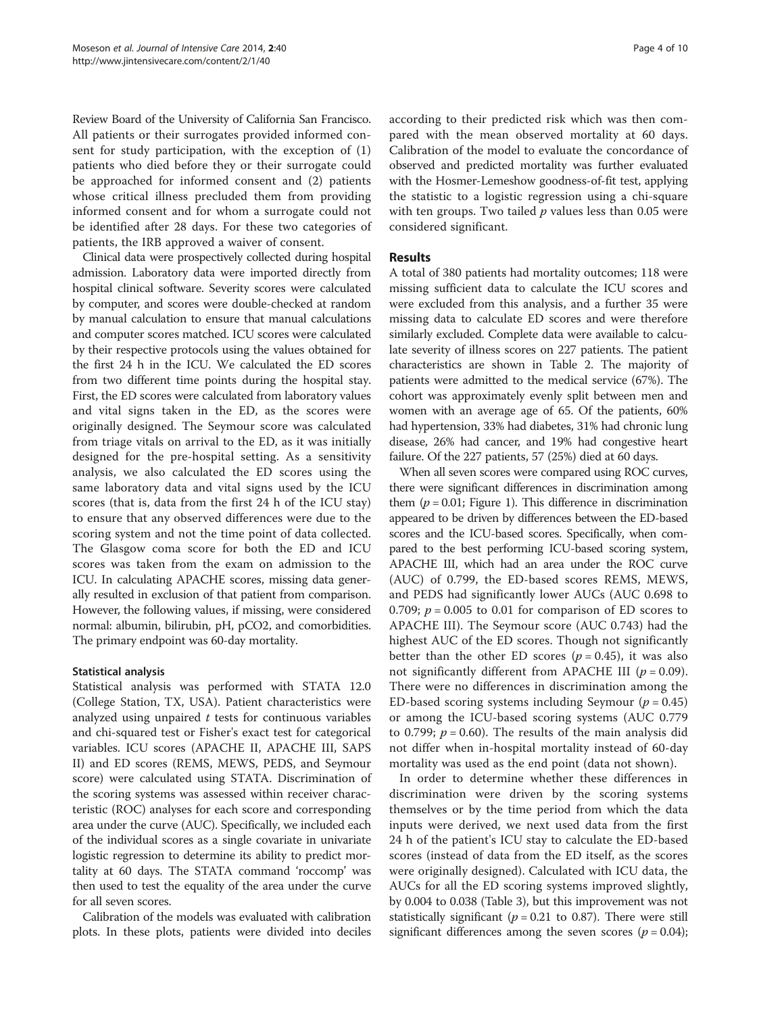Review Board of the University of California San Francisco. All patients or their surrogates provided informed consent for study participation, with the exception of (1) patients who died before they or their surrogate could be approached for informed consent and (2) patients whose critical illness precluded them from providing informed consent and for whom a surrogate could not be identified after 28 days. For these two categories of patients, the IRB approved a waiver of consent.

Clinical data were prospectively collected during hospital admission. Laboratory data were imported directly from hospital clinical software. Severity scores were calculated by computer, and scores were double-checked at random by manual calculation to ensure that manual calculations and computer scores matched. ICU scores were calculated by their respective protocols using the values obtained for the first 24 h in the ICU. We calculated the ED scores from two different time points during the hospital stay. First, the ED scores were calculated from laboratory values and vital signs taken in the ED, as the scores were originally designed. The Seymour score was calculated from triage vitals on arrival to the ED, as it was initially designed for the pre-hospital setting. As a sensitivity analysis, we also calculated the ED scores using the same laboratory data and vital signs used by the ICU scores (that is, data from the first 24 h of the ICU stay) to ensure that any observed differences were due to the scoring system and not the time point of data collected. The Glasgow coma score for both the ED and ICU scores was taken from the exam on admission to the ICU. In calculating APACHE scores, missing data generally resulted in exclusion of that patient from comparison. However, the following values, if missing, were considered normal: albumin, bilirubin, pH, pCO2, and comorbidities. The primary endpoint was 60-day mortality.

## Statistical analysis

Statistical analysis was performed with STATA 12.0 (College Station, TX, USA). Patient characteristics were analyzed using unpaired  $t$  tests for continuous variables and chi-squared test or Fisher's exact test for categorical variables. ICU scores (APACHE II, APACHE III, SAPS II) and ED scores (REMS, MEWS, PEDS, and Seymour score) were calculated using STATA. Discrimination of the scoring systems was assessed within receiver characteristic (ROC) analyses for each score and corresponding area under the curve (AUC). Specifically, we included each of the individual scores as a single covariate in univariate logistic regression to determine its ability to predict mortality at 60 days. The STATA command 'roccomp' was then used to test the equality of the area under the curve for all seven scores.

Calibration of the models was evaluated with calibration plots. In these plots, patients were divided into deciles

according to their predicted risk which was then compared with the mean observed mortality at 60 days. Calibration of the model to evaluate the concordance of observed and predicted mortality was further evaluated with the Hosmer-Lemeshow goodness-of-fit test, applying the statistic to a logistic regression using a chi-square with ten groups. Two tailed  $p$  values less than 0.05 were considered significant.

## Results

A total of 380 patients had mortality outcomes; 118 were missing sufficient data to calculate the ICU scores and were excluded from this analysis, and a further 35 were missing data to calculate ED scores and were therefore similarly excluded. Complete data were available to calculate severity of illness scores on 227 patients. The patient characteristics are shown in Table [2](#page-4-0). The majority of patients were admitted to the medical service (67%). The cohort was approximately evenly split between men and women with an average age of 65. Of the patients, 60% had hypertension, 33% had diabetes, 31% had chronic lung disease, 26% had cancer, and 19% had congestive heart failure. Of the 227 patients, 57 (25%) died at 60 days.

When all seven scores were compared using ROC curves, there were significant differences in discrimination among them ( $p = 0.01$ ; Figure [1](#page-5-0)). This difference in discrimination appeared to be driven by differences between the ED-based scores and the ICU-based scores. Specifically, when compared to the best performing ICU-based scoring system, APACHE III, which had an area under the ROC curve (AUC) of 0.799, the ED-based scores REMS, MEWS, and PEDS had significantly lower AUCs (AUC 0.698 to 0.709;  $p = 0.005$  to 0.01 for comparison of ED scores to APACHE III). The Seymour score (AUC 0.743) had the highest AUC of the ED scores. Though not significantly better than the other ED scores ( $p = 0.45$ ), it was also not significantly different from APACHE III ( $p = 0.09$ ). There were no differences in discrimination among the ED-based scoring systems including Seymour ( $p = 0.45$ ) or among the ICU-based scoring systems (AUC 0.779 to 0.799;  $p = 0.60$ ). The results of the main analysis did not differ when in-hospital mortality instead of 60-day mortality was used as the end point (data not shown).

In order to determine whether these differences in discrimination were driven by the scoring systems themselves or by the time period from which the data inputs were derived, we next used data from the first 24 h of the patient's ICU stay to calculate the ED-based scores (instead of data from the ED itself, as the scores were originally designed). Calculated with ICU data, the AUCs for all the ED scoring systems improved slightly, by 0.004 to 0.038 (Table [3](#page-5-0)), but this improvement was not statistically significant ( $p = 0.21$  to 0.87). There were still significant differences among the seven scores ( $p = 0.04$ );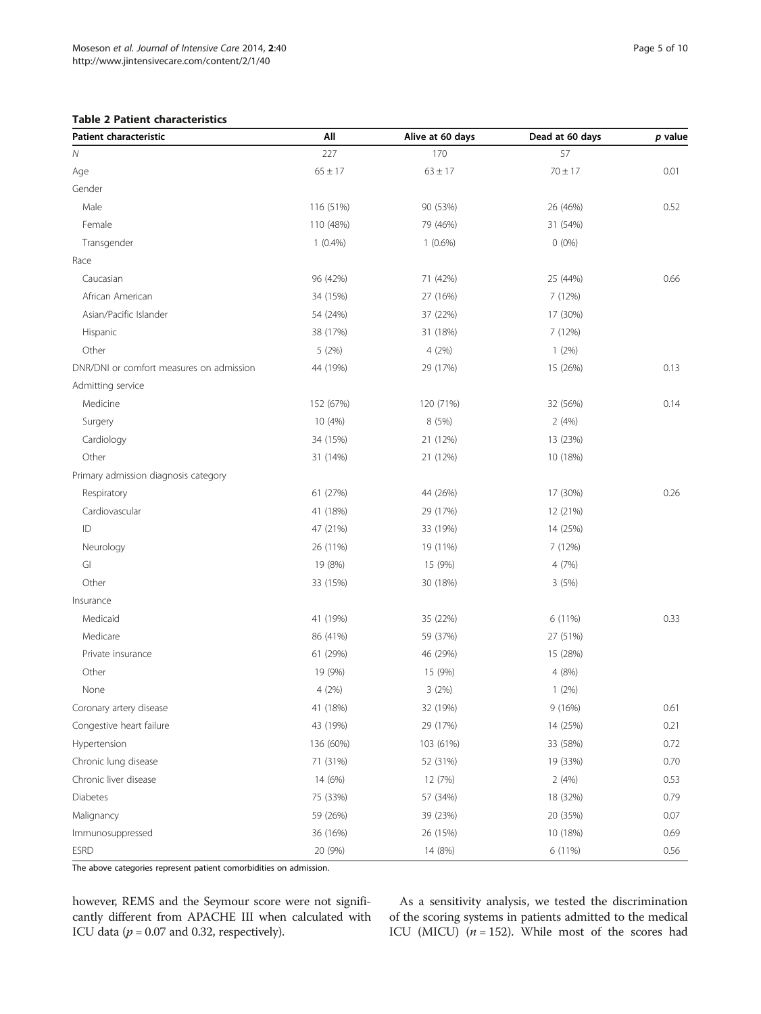#### <span id="page-4-0"></span>Table 2 Patient characteristics

| Patient characteristic                   | All         | Alive at 60 days | Dead at 60 days | p value |
|------------------------------------------|-------------|------------------|-----------------|---------|
| Ν                                        | 227         | 170              | 57              |         |
| Age                                      | $65 \pm 17$ | $63 \pm 17$      | $70 \pm 17$     | 0.01    |
| Gender                                   |             |                  |                 |         |
| Male                                     | 116 (51%)   | 90 (53%)         | 26 (46%)        | 0.52    |
| Female                                   | 110 (48%)   | 79 (46%)         | 31 (54%)        |         |
| Transgender                              | $1(0.4\%)$  | $1(0.6\%)$       | $0(0\%)$        |         |
| Race                                     |             |                  |                 |         |
| Caucasian                                | 96 (42%)    | 71 (42%)         | 25 (44%)        | 0.66    |
| African American                         | 34 (15%)    | 27 (16%)         | 7 (12%)         |         |
| Asian/Pacific Islander                   | 54 (24%)    | 37 (22%)         | 17 (30%)        |         |
| Hispanic                                 | 38 (17%)    | 31 (18%)         | 7 (12%)         |         |
| Other                                    | 5 (2%)      | 4(2%)            | 1(2%)           |         |
| DNR/DNI or comfort measures on admission | 44 (19%)    | 29 (17%)         | 15 (26%)        | 0.13    |
| Admitting service                        |             |                  |                 |         |
| Medicine                                 | 152 (67%)   | 120 (71%)        | 32 (56%)        | 0.14    |
| Surgery                                  | 10 (4%)     | 8 (5%)           | 2(4%)           |         |
| Cardiology                               | 34 (15%)    | 21 (12%)         | 13 (23%)        |         |
| Other                                    | 31 (14%)    | 21 (12%)         | 10 (18%)        |         |
| Primary admission diagnosis category     |             |                  |                 |         |
| Respiratory                              | 61 (27%)    | 44 (26%)         | 17 (30%)        | 0.26    |
| Cardiovascular                           | 41 (18%)    | 29 (17%)         | 12 (21%)        |         |
| ID                                       | 47 (21%)    | 33 (19%)         | 14 (25%)        |         |
| Neurology                                | 26 (11%)    | 19 (11%)         | 7 (12%)         |         |
| GI                                       | 19 (8%)     | 15 (9%)          | 4 (7%)          |         |
| Other                                    | 33 (15%)    | 30 (18%)         | 3 (5%)          |         |
| Insurance                                |             |                  |                 |         |
| Medicaid                                 | 41 (19%)    | 35 (22%)         | 6 (11%)         | 0.33    |
| Medicare                                 | 86 (41%)    | 59 (37%)         | 27 (51%)        |         |
| Private insurance                        | 61 (29%)    | 46 (29%)         | 15 (28%)        |         |
| Other                                    | 19 (9%)     | 15 (9%)          | 4 (8%)          |         |
| None                                     | 4 (2%)      | 3(2%)            | 1(2%)           |         |
| Coronary artery disease                  | 41 (18%)    | 32 (19%)         | 9 (16%)         | 0.61    |
| Congestive heart failure                 | 43 (19%)    | 29 (17%)         | 14 (25%)        | 0.21    |
| Hypertension                             | 136 (60%)   | 103 (61%)        | 33 (58%)        | 0.72    |
| Chronic lung disease                     | 71 (31%)    | 52 (31%)         | 19 (33%)        | 0.70    |
| Chronic liver disease                    | 14 (6%)     | 12 (7%)          | 2(4%)           | 0.53    |
| <b>Diabetes</b>                          | 75 (33%)    | 57 (34%)         | 18 (32%)        | 0.79    |
| Malignancy                               | 59 (26%)    | 39 (23%)         | 20 (35%)        | 0.07    |
| Immunosuppressed                         | 36 (16%)    | 26 (15%)         | 10 (18%)        | 0.69    |
| <b>ESRD</b>                              | 20 (9%)     | 14 (8%)          | 6 (11%)         | 0.56    |

The above categories represent patient comorbidities on admission.

however, REMS and the Seymour score were not significantly different from APACHE III when calculated with ICU data ( $p = 0.07$  and 0.32, respectively).

As a sensitivity analysis, we tested the discrimination of the scoring systems in patients admitted to the medical ICU (MICU)  $(n = 152)$ . While most of the scores had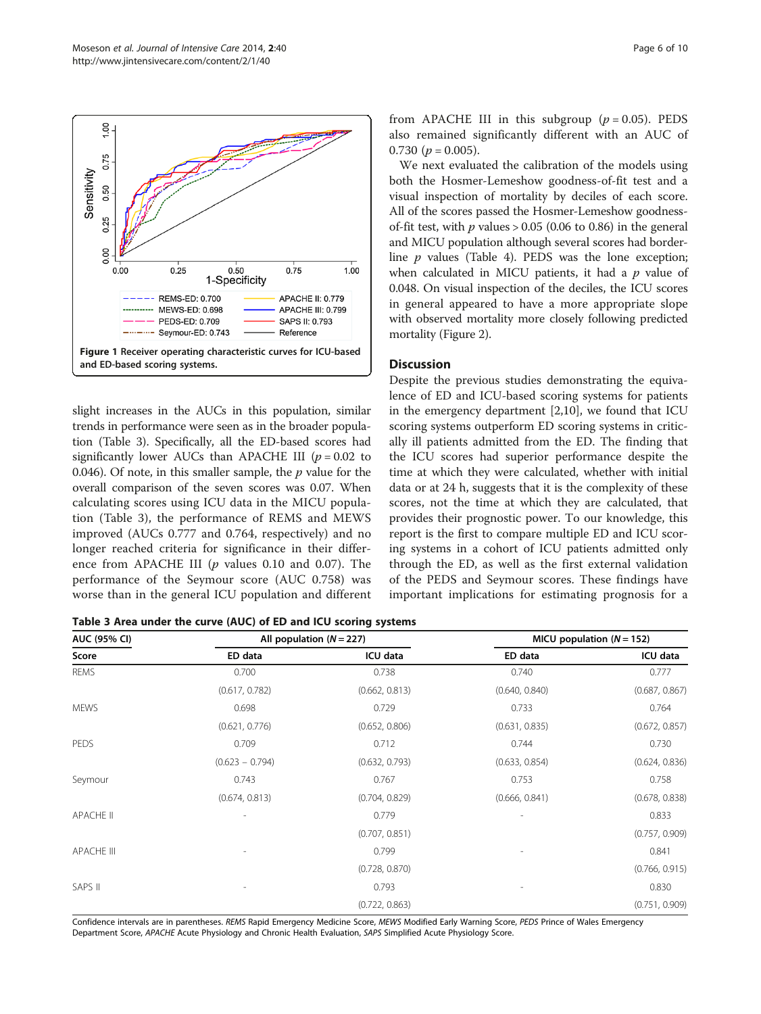<span id="page-5-0"></span>

slight increases in the AUCs in this population, similar trends in performance were seen as in the broader population (Table 3). Specifically, all the ED-based scores had significantly lower AUCs than APACHE III ( $p = 0.02$  to 0.046). Of note, in this smaller sample, the  $p$  value for the overall comparison of the seven scores was 0.07. When calculating scores using ICU data in the MICU population (Table 3), the performance of REMS and MEWS improved (AUCs 0.777 and 0.764, respectively) and no longer reached criteria for significance in their difference from APACHE III ( $p$  values 0.10 and 0.07). The performance of the Seymour score (AUC 0.758) was worse than in the general ICU population and different from APACHE III in this subgroup ( $p = 0.05$ ). PEDS also remained significantly different with an AUC of 0.730  $(p = 0.005)$ .

We next evaluated the calibration of the models using both the Hosmer-Lemeshow goodness-of-fit test and a visual inspection of mortality by deciles of each score. All of the scores passed the Hosmer-Lemeshow goodnessof-fit test, with  $p$  values > 0.05 (0.06 to 0.86) in the general and MICU population although several scores had borderline  $p$  values (Table [4](#page-6-0)). PEDS was the lone exception; when calculated in MICU patients, it had a  $p$  value of 0.048. On visual inspection of the deciles, the ICU scores in general appeared to have a more appropriate slope with observed mortality more closely following predicted mortality (Figure [2\)](#page-7-0).

## **Discussion**

Despite the previous studies demonstrating the equivalence of ED and ICU-based scoring systems for patients in the emergency department [[2,10\]](#page-8-0), we found that ICU scoring systems outperform ED scoring systems in critically ill patients admitted from the ED. The finding that the ICU scores had superior performance despite the time at which they were calculated, whether with initial data or at 24 h, suggests that it is the complexity of these scores, not the time at which they are calculated, that provides their prognostic power. To our knowledge, this report is the first to compare multiple ED and ICU scoring systems in a cohort of ICU patients admitted only through the ED, as well as the first external validation of the PEDS and Seymour scores. These findings have important implications for estimating prognosis for a

|  |  |  |  |  |  |  |  | Table 3 Area under the curve (AUC) of ED and ICU scoring systems |
|--|--|--|--|--|--|--|--|------------------------------------------------------------------|
|--|--|--|--|--|--|--|--|------------------------------------------------------------------|

| AUC (95% CI)      | All population $(N = 227)$ |                | MICU population $(N = 152)$ |                |  |
|-------------------|----------------------------|----------------|-----------------------------|----------------|--|
| Score             | ED data                    | ICU data       | ED data                     | ICU data       |  |
| <b>REMS</b>       | 0.700                      | 0.738          | 0.740                       | 0.777          |  |
|                   | (0.617, 0.782)             | (0.662, 0.813) | (0.640, 0.840)              | (0.687, 0.867) |  |
| <b>MEWS</b>       | 0.698                      | 0.729          | 0.733                       | 0.764          |  |
|                   | (0.621, 0.776)             | (0.652, 0.806) | (0.631, 0.835)              | (0.672, 0.857) |  |
| <b>PEDS</b>       | 0.709                      | 0.712          | 0.744                       | 0.730          |  |
|                   | $(0.623 - 0.794)$          | (0.632, 0.793) | (0.633, 0.854)              | (0.624, 0.836) |  |
| Seymour           | 0.743                      | 0.767          | 0.753                       | 0.758          |  |
|                   | (0.674, 0.813)             | (0.704, 0.829) | (0.666, 0.841)              | (0.678, 0.838) |  |
| APACHE II         |                            | 0.779          | $\overline{\phantom{a}}$    | 0.833          |  |
|                   |                            | (0.707, 0.851) |                             | (0.757, 0.909) |  |
| <b>APACHE III</b> |                            | 0.799          |                             | 0.841          |  |
|                   |                            | (0.728, 0.870) |                             | (0.766, 0.915) |  |
| SAPS II           |                            | 0.793          |                             | 0.830          |  |
|                   |                            | (0.722, 0.863) |                             | (0.751, 0.909) |  |

Confidence intervals are in parentheses. REMS Rapid Emergency Medicine Score, MEWS Modified Early Warning Score, PEDS Prince of Wales Emergency Department Score, APACHE Acute Physiology and Chronic Health Evaluation, SAPS Simplified Acute Physiology Score.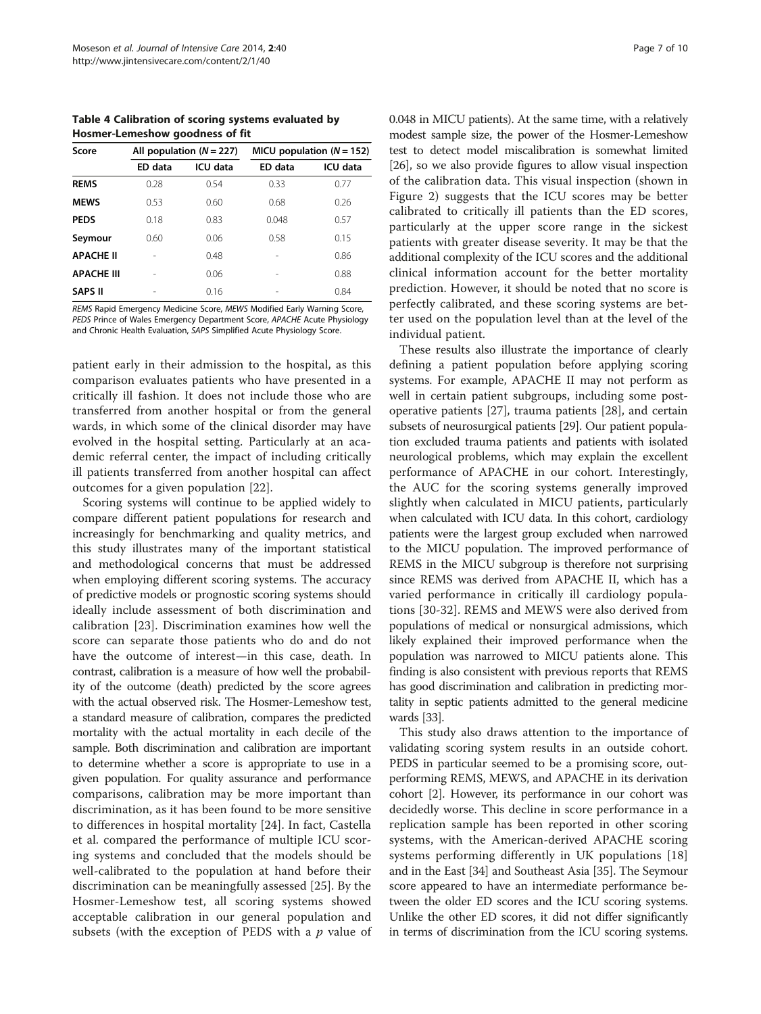<span id="page-6-0"></span>Table 4 Calibration of scoring systems evaluated by Hosmer-Lemeshow goodness of fit

| Score             |         | All population $(N = 227)$ | MICU population $(N = 152)$ |                 |  |
|-------------------|---------|----------------------------|-----------------------------|-----------------|--|
|                   | ED data | ICU data                   | ED data                     | <b>ICU</b> data |  |
| <b>REMS</b>       | 0.28    | 0.54                       | 0.33                        | 0.77            |  |
| <b>MEWS</b>       | 0.53    | 0.60                       | 0.68                        | 0.26            |  |
| <b>PEDS</b>       | 0.18    | 0.83                       | 0.048                       | 0.57            |  |
| Seymour           | 0.60    | 0.06                       | 0.58                        | 0.15            |  |
| <b>APACHE II</b>  |         | 0.48                       | $\overline{a}$              | 0.86            |  |
| <b>APACHE III</b> |         | 0.06                       |                             | 0.88            |  |
| <b>SAPS II</b>    |         | 0.16                       | $\overline{a}$              | 0.84            |  |

REMS Rapid Emergency Medicine Score, MEWS Modified Early Warning Score, PEDS Prince of Wales Emergency Department Score, APACHE Acute Physiology and Chronic Health Evaluation, SAPS Simplified Acute Physiology Score.

patient early in their admission to the hospital, as this comparison evaluates patients who have presented in a critically ill fashion. It does not include those who are transferred from another hospital or from the general wards, in which some of the clinical disorder may have evolved in the hospital setting. Particularly at an academic referral center, the impact of including critically ill patients transferred from another hospital can affect outcomes for a given population [\[22](#page-9-0)].

Scoring systems will continue to be applied widely to compare different patient populations for research and increasingly for benchmarking and quality metrics, and this study illustrates many of the important statistical and methodological concerns that must be addressed when employing different scoring systems. The accuracy of predictive models or prognostic scoring systems should ideally include assessment of both discrimination and calibration [[23](#page-9-0)]. Discrimination examines how well the score can separate those patients who do and do not have the outcome of interest—in this case, death. In contrast, calibration is a measure of how well the probability of the outcome (death) predicted by the score agrees with the actual observed risk. The Hosmer-Lemeshow test, a standard measure of calibration, compares the predicted mortality with the actual mortality in each decile of the sample. Both discrimination and calibration are important to determine whether a score is appropriate to use in a given population. For quality assurance and performance comparisons, calibration may be more important than discrimination, as it has been found to be more sensitive to differences in hospital mortality [\[24](#page-9-0)]. In fact, Castella et al. compared the performance of multiple ICU scoring systems and concluded that the models should be well-calibrated to the population at hand before their discrimination can be meaningfully assessed [\[25](#page-9-0)]. By the Hosmer-Lemeshow test, all scoring systems showed acceptable calibration in our general population and subsets (with the exception of PEDS with a  $p$  value of 0.048 in MICU patients). At the same time, with a relatively modest sample size, the power of the Hosmer-Lemeshow test to detect model miscalibration is somewhat limited [[26](#page-9-0)], so we also provide figures to allow visual inspection of the calibration data. This visual inspection (shown in Figure [2\)](#page-7-0) suggests that the ICU scores may be better calibrated to critically ill patients than the ED scores, particularly at the upper score range in the sickest patients with greater disease severity. It may be that the additional complexity of the ICU scores and the additional clinical information account for the better mortality prediction. However, it should be noted that no score is perfectly calibrated, and these scoring systems are better used on the population level than at the level of the individual patient.

These results also illustrate the importance of clearly defining a patient population before applying scoring systems. For example, APACHE II may not perform as well in certain patient subgroups, including some postoperative patients [\[27\]](#page-9-0), trauma patients [[28\]](#page-9-0), and certain subsets of neurosurgical patients [[29](#page-9-0)]. Our patient population excluded trauma patients and patients with isolated neurological problems, which may explain the excellent performance of APACHE in our cohort. Interestingly, the AUC for the scoring systems generally improved slightly when calculated in MICU patients, particularly when calculated with ICU data. In this cohort, cardiology patients were the largest group excluded when narrowed to the MICU population. The improved performance of REMS in the MICU subgroup is therefore not surprising since REMS was derived from APACHE II, which has a varied performance in critically ill cardiology populations [\[30](#page-9-0)-[32\]](#page-9-0). REMS and MEWS were also derived from populations of medical or nonsurgical admissions, which likely explained their improved performance when the population was narrowed to MICU patients alone. This finding is also consistent with previous reports that REMS has good discrimination and calibration in predicting mortality in septic patients admitted to the general medicine wards [\[33\]](#page-9-0).

This study also draws attention to the importance of validating scoring system results in an outside cohort. PEDS in particular seemed to be a promising score, outperforming REMS, MEWS, and APACHE in its derivation cohort [\[2](#page-8-0)]. However, its performance in our cohort was decidedly worse. This decline in score performance in a replication sample has been reported in other scoring systems, with the American-derived APACHE scoring systems performing differently in UK populations [\[18](#page-8-0)] and in the East [\[34\]](#page-9-0) and Southeast Asia [\[35\]](#page-9-0). The Seymour score appeared to have an intermediate performance between the older ED scores and the ICU scoring systems. Unlike the other ED scores, it did not differ significantly in terms of discrimination from the ICU scoring systems.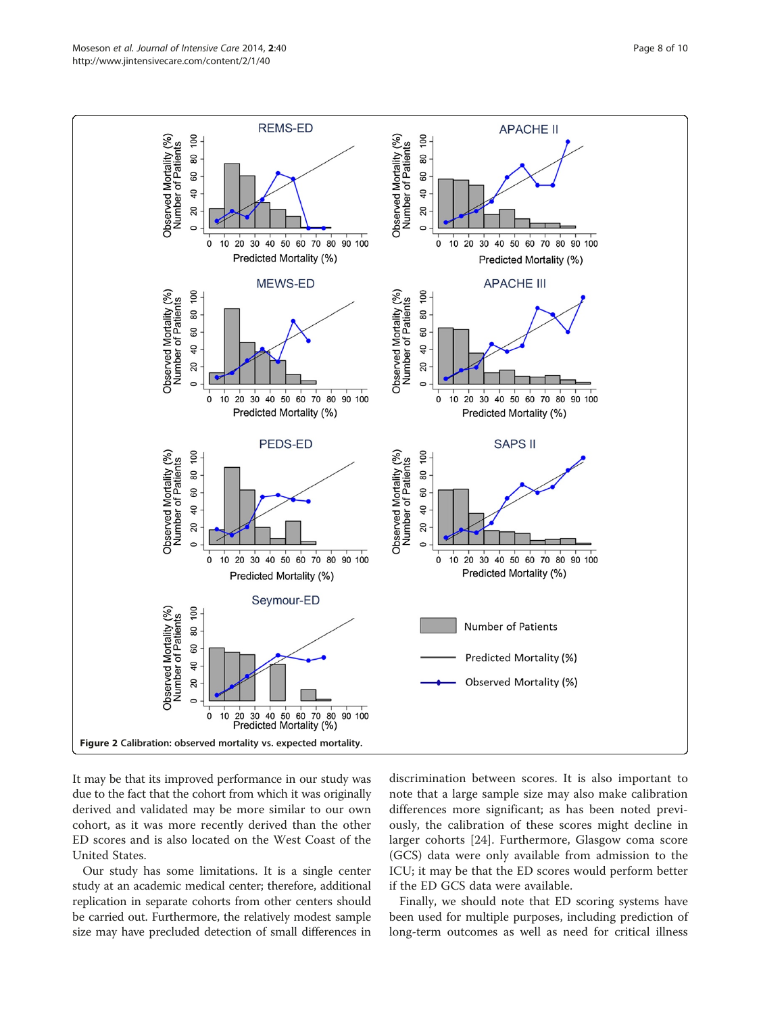<span id="page-7-0"></span>

It may be that its improved performance in our study was due to the fact that the cohort from which it was originally derived and validated may be more similar to our own cohort, as it was more recently derived than the other ED scores and is also located on the West Coast of the United States.

Our study has some limitations. It is a single center study at an academic medical center; therefore, additional replication in separate cohorts from other centers should be carried out. Furthermore, the relatively modest sample size may have precluded detection of small differences in

discrimination between scores. It is also important to note that a large sample size may also make calibration differences more significant; as has been noted previously, the calibration of these scores might decline in larger cohorts [[24\]](#page-9-0). Furthermore, Glasgow coma score (GCS) data were only available from admission to the ICU; it may be that the ED scores would perform better if the ED GCS data were available.

Finally, we should note that ED scoring systems have been used for multiple purposes, including prediction of long-term outcomes as well as need for critical illness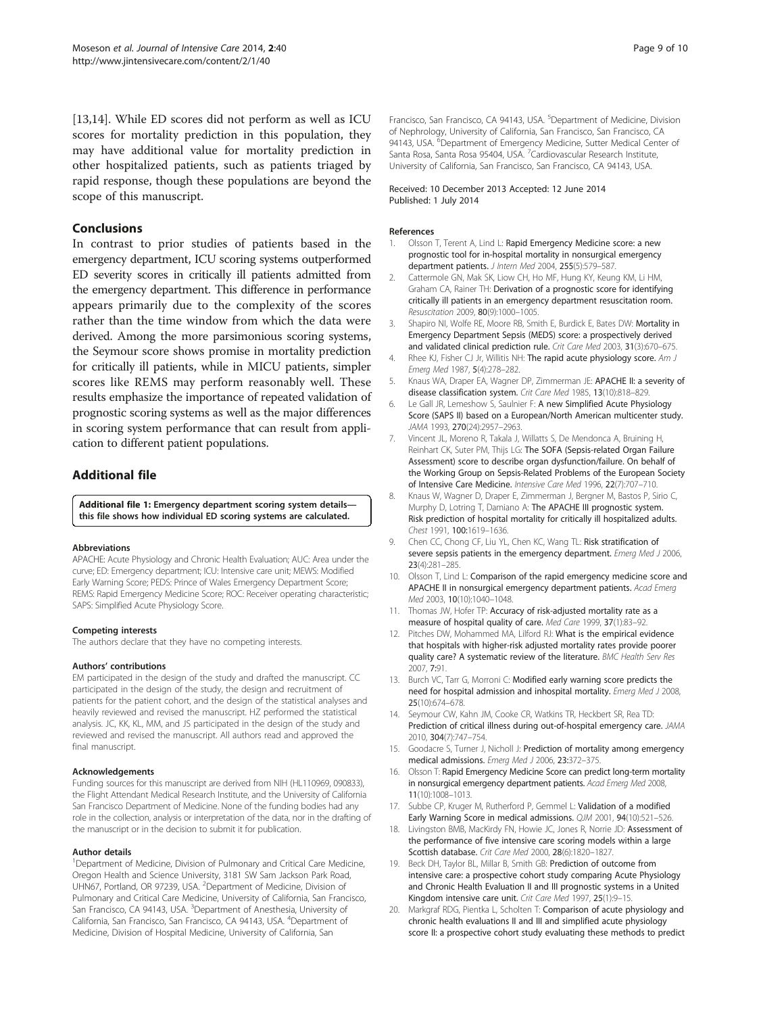<span id="page-8-0"></span>[13,14]. While ED scores did not perform as well as ICU scores for mortality prediction in this population, they may have additional value for mortality prediction in other hospitalized patients, such as patients triaged by rapid response, though these populations are beyond the scope of this manuscript.

## Conclusions

In contrast to prior studies of patients based in the emergency department, ICU scoring systems outperformed ED severity scores in critically ill patients admitted from the emergency department. This difference in performance appears primarily due to the complexity of the scores rather than the time window from which the data were derived. Among the more parsimonious scoring systems, the Seymour score shows promise in mortality prediction for critically ill patients, while in MICU patients, simpler scores like REMS may perform reasonably well. These results emphasize the importance of repeated validation of prognostic scoring systems as well as the major differences in scoring system performance that can result from application to different patient populations.

## Additional file

[Additional file 1:](http://www.biomedcentral.com/content/supplementary/2052-0492-2-40-S1.pdf) Emergency department scoring system details this file shows how individual ED scoring systems are calculated.

#### Abbreviations

APACHE: Acute Physiology and Chronic Health Evaluation; AUC: Area under the curve; ED: Emergency department; ICU: Intensive care unit; MEWS: Modified Early Warning Score; PEDS: Prince of Wales Emergency Department Score; REMS: Rapid Emergency Medicine Score; ROC: Receiver operating characteristic; SAPS: Simplified Acute Physiology Score.

#### Competing interests

The authors declare that they have no competing interests.

#### Authors' contributions

EM participated in the design of the study and drafted the manuscript. CC participated in the design of the study, the design and recruitment of patients for the patient cohort, and the design of the statistical analyses and heavily reviewed and revised the manuscript. HZ performed the statistical analysis. JC, KK, KL, MM, and JS participated in the design of the study and reviewed and revised the manuscript. All authors read and approved the final manuscript.

#### Acknowledgements

Funding sources for this manuscript are derived from NIH (HL110969, 090833), the Flight Attendant Medical Research Institute, and the University of California San Francisco Department of Medicine. None of the funding bodies had any role in the collection, analysis or interpretation of the data, nor in the drafting of the manuscript or in the decision to submit it for publication.

#### Author details

<sup>1</sup>Department of Medicine, Division of Pulmonary and Critical Care Medicine, Oregon Health and Science University, 3181 SW Sam Jackson Park Road, UHN67, Portland, OR 97239, USA. <sup>2</sup>Department of Medicine, Division of Pulmonary and Critical Care Medicine, University of California, San Francisco, San Francisco, CA 94143, USA. <sup>3</sup>Department of Anesthesia, University of California, San Francisco, San Francisco, CA 94143, USA. <sup>4</sup>Department of Medicine, Division of Hospital Medicine, University of California, San

Francisco, San Francisco, CA 94143, USA. <sup>5</sup>Department of Medicine, Division of Nephrology, University of California, San Francisco, San Francisco, CA 94143, USA. <sup>6</sup>Department of Emergency Medicine, Sutter Medical Center of Santa Rosa, Santa Rosa 95404, USA. <sup>7</sup>Cardiovascular Research Institute University of California, San Francisco, San Francisco, CA 94143, USA.

#### Received: 10 December 2013 Accepted: 12 June 2014 Published: 1 July 2014

#### References

- 1. Olsson T, Terent A, Lind L: Rapid Emergency Medicine score: a new prognostic tool for in-hospital mortality in nonsurgical emergency department patients. J Intern Med 2004, 255(5):579-587.
- 2. Cattermole GN, Mak SK, Liow CH, Ho MF, Hung KY, Keung KM, Li HM, Graham CA, Rainer TH: Derivation of a prognostic score for identifying critically ill patients in an emergency department resuscitation room. Resuscitation 2009, 80(9):1000–1005.
- 3. Shapiro NI, Wolfe RE, Moore RB, Smith E, Burdick E, Bates DW: Mortality in Emergency Department Sepsis (MEDS) score: a prospectively derived and validated clinical prediction rule. Crit Care Med 2003, 31(3):670–675.
- 4. Rhee KJ, Fisher CJ Jr, Willitis NH: The rapid acute physiology score. Am J Emerg Med 1987, 5(4):278–282.
- 5. Knaus WA, Draper EA, Wagner DP, Zimmerman JE: APACHE II: a severity of disease classification system. Crit Care Med 1985, 13(10):818–829.
- 6. Le Gall JR, Lemeshow S, Saulnier F: A new Simplified Acute Physiology Score (SAPS II) based on a European/North American multicenter study. JAMA 1993, 270(24):2957–2963.
- 7. Vincent JL, Moreno R, Takala J, Willatts S, De Mendonca A, Bruining H, Reinhart CK, Suter PM, Thijs LG: The SOFA (Sepsis-related Organ Failure Assessment) score to describe organ dysfunction/failure. On behalf of the Working Group on Sepsis-Related Problems of the European Society of Intensive Care Medicine. Intensive Care Med 1996, 22(7):707–710.
- 8. Knaus W, Wagner D, Draper E, Zimmerman J, Bergner M, Bastos P, Sirio C, Murphy D, Lotring T, Damiano A: The APACHE III prognostic system. Risk prediction of hospital mortality for critically ill hospitalized adults. Chest 1991, 100:1619–1636.
- 9. Chen CC, Chong CF, Liu YL, Chen KC, Wang TL: Risk stratification of severe sepsis patients in the emergency department. Emerg Med J 2006, 23(4):281–285.
- 10. Olsson T, Lind L: Comparison of the rapid emergency medicine score and APACHE II in nonsurgical emergency department patients. Acad Emerg Med 2003, 10(10):1040–1048.
- 11. Thomas JW, Hofer TP: Accuracy of risk-adjusted mortality rate as a measure of hospital quality of care. Med Care 1999, 37(1):83–92.
- 12. Pitches DW, Mohammed MA, Lilford RJ: What is the empirical evidence that hospitals with higher-risk adjusted mortality rates provide poorer quality care? A systematic review of the literature. BMC Health Serv Res 2007, 7:91.
- 13. Burch VC, Tarr G, Morroni C: Modified early warning score predicts the need for hospital admission and inhospital mortality. Emerg Med J 2008, 25(10):674–678.
- 14. Seymour CW, Kahn JM, Cooke CR, Watkins TR, Heckbert SR, Rea TD: Prediction of critical illness during out-of-hospital emergency care. JAMA 2010, 304(7):747–754.
- 15. Goodacre S, Turner J, Nicholl J: Prediction of mortality among emergency medical admissions. Emerg Med J 2006, 23:372–375.
- 16. Olsson T: Rapid Emergency Medicine Score can predict long-term mortality in nonsurgical emergency department patients. Acad Emerg Med 2008, 11(10):1008–1013.
- 17. Subbe CP, Kruger M, Rutherford P, Gemmel L: Validation of a modified Early Warning Score in medical admissions. QJM 2001, 94(10):521–526.
- 18. Livingston BMB, MacKirdy FN, Howie JC, Jones R, Norrie JD: Assessment of the performance of five intensive care scoring models within a large Scottish database. Crit Care Med 2000, 28(6):1820–1827.
- 19. Beck DH, Taylor BL, Millar B, Smith GB: Prediction of outcome from intensive care: a prospective cohort study comparing Acute Physiology and Chronic Health Evaluation II and III prognostic systems in a United Kingdom intensive care unit. Crit Care Med 1997, 25(1):9-15.
- 20. Markgraf RDG, Pientka L, Scholten T: Comparison of acute physiology and chronic health evaluations II and III and simplified acute physiology score II: a prospective cohort study evaluating these methods to predict